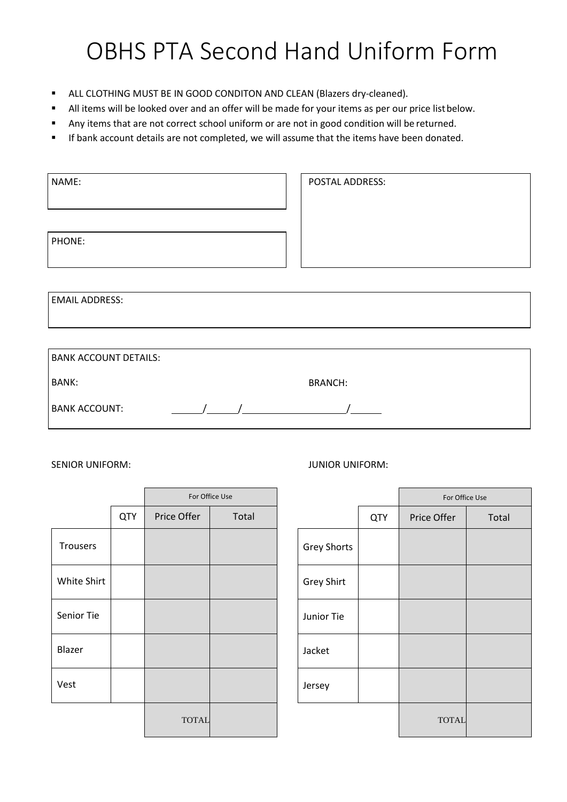## OBHS PTA Second Hand Uniform Form

- **E** ALL CLOTHING MUST BE IN GOOD CONDITON AND CLEAN (Blazers dry-cleaned).
- All items will be looked over and an offer will be made for your items as per our price list below.
- Any items that are not correct school uniform or are not in good condition will be returned.
- **■** If bank account details are not completed, we will assume that the items have been donated.

| NAME:                 | POSTAL ADDRESS: |
|-----------------------|-----------------|
|                       |                 |
|                       |                 |
| PHONE:                |                 |
|                       |                 |
|                       |                 |
| <b>EMAIL ADDRESS:</b> |                 |

| <b>BANK ACCOUNT DETAILS:</b> |                |  |
|------------------------------|----------------|--|
| BANK:                        | <b>BRANCH:</b> |  |
| <b>BANK ACCOUNT:</b>         |                |  |

|                 |            | For Office Use |       |                    |
|-----------------|------------|----------------|-------|--------------------|
|                 | <b>QTY</b> | Price Offer    | Total |                    |
| <b>Trousers</b> |            |                |       | <b>Grey Shorts</b> |
| White Shirt     |            |                |       | Grey Shirt         |
| Senior Tie      |            |                |       | Junior Tie         |
| Blazer          |            |                |       | Jacket             |
| Vest            |            |                |       | Jersey             |
|                 |            | <b>TOTAL</b>   |       |                    |

SENIOR UNIFORM:  $JUNIOR UNIFORM:$ 

|     | For Office Use |       |                    |            | For Office Use |       |
|-----|----------------|-------|--------------------|------------|----------------|-------|
| QTY | Price Offer    | Total |                    | <b>QTY</b> | Price Offer    | Total |
|     |                |       | <b>Grey Shorts</b> |            |                |       |
|     |                |       | <b>Grey Shirt</b>  |            |                |       |
|     |                |       | Junior Tie         |            |                |       |
|     |                |       | Jacket             |            |                |       |
|     |                |       | Jersey             |            |                |       |
|     | <b>TOTAL</b>   |       |                    |            | <b>TOTAL</b>   |       |